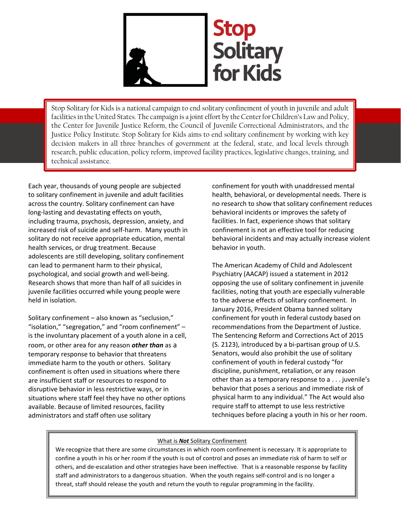

Stop Solitary for Kids is a national campaign to end solitary confinement of youth in juvenile and adult facilities in the United States. The campaign is a joint effort by the Center for Children's Law and Policy, the Center for Juvenile Justice Reform, the Council of Juvenile Correctional Administrators, and the Justice Policy Institute. Stop Solitary for Kids aims to end solitary confinement by working with key decision makers in all three branches of government at the federal, state, and local levels through research, public education, policy reform, improved facility practices, legislative changes, training, and technical assistance.

Each year, thousands of young people are subjected to solitary confinement in juvenile and adult facilities across the country. Solitary confinement can have long-lasting and devastating effects on youth, including trauma, psychosis, depression, anxiety, and increased risk of suicide and self-harm. Many youth in solitary do not receive appropriate education, mental health services, or drug treatment. Because adolescents are still developing, solitary confinement can lead to permanent harm to their physical, psychological, and social growth and well-being. Research shows that more than half of all suicides in juvenile facilities occurred while young people were held in isolation.

Solitary confinement – also known as "seclusion," "isolation," "segregation," and "room confinement" – is the involuntary placement of a youth alone in a cell, room, or other area for any reason *other than* as a temporary response to behavior that threatens immediate harm to the youth or others. Solitary confinement is often used in situations where there are insufficient staff or resources to respond to disruptive behavior in less restrictive ways, or in situations where staff feel they have no other options available. Because of limited resources, facility administrators and staff often use solitary

confinement for youth with unaddressed mental health, behavioral, or developmental needs. There is no research to show that solitary confinement reduces behavioral incidents or improves the safety of facilities. In fact, experience shows that solitary confinement is not an effective tool for reducing behavioral incidents and may actually increase violent behavior in youth.

The American Academy of Child and Adolescent Psychiatry (AACAP) issued a statement in 2012 opposing the use of solitary confinement in juvenile facilities, noting that youth are especially vulnerable to the adverse effects of solitary confinement. In January 2016, President Obama banned solitary confinement for youth in federal custody based on recommendations from the Department of Justice. The Sentencing Reform and Corrections Act of 2015 (S. 2123), introduced by a bi-partisan group of U.S. Senators, would also prohibit the use of solitary confinement of youth in federal custody "for discipline, punishment, retaliation, or any reason other than as a temporary response to a . . . juvenile's behavior that poses a serious and immediate risk of physical harm to any individual." The Act would also require staff to attempt to use less restrictive techniques before placing a youth in his or her room.

## What is *Not* Solitary Confinement

We recognize that there are some circumstances in which room confinement is necessary. It is appropriate to confine a youth in his or her room if the youth is out of control and poses an immediate risk of harm to self or others, and de-escalation and other strategies have been ineffective. That is a reasonable response by facility staff and administrators to a dangerous situation. When the youth regains self-control and is no longer a threat, staff should release the youth and return the youth to regular programming in the facility.